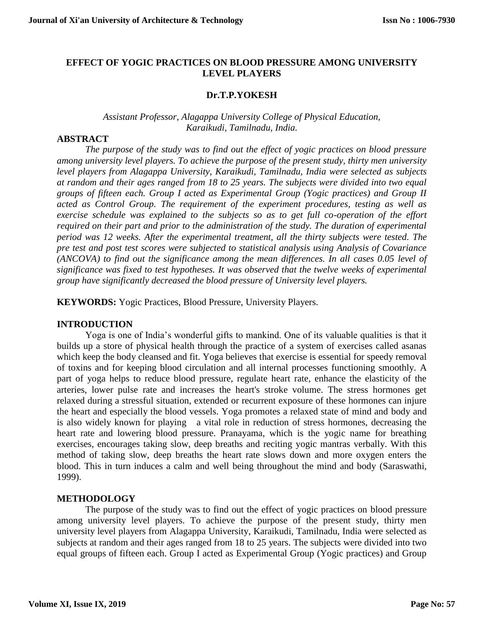### **EFFECT OF YOGIC PRACTICES ON BLOOD PRESSURE AMONG UNIVERSITY LEVEL PLAYERS**

#### **Dr.T.P.YOKESH**

## *[Assistant Professor,](http://www.bdu.ac.in/schools/education/physical-education-and-yoga/docs/faculty/dr_a_palanisamy.pdf) Alagappa University College of Physical Education, Karaikudi, Tamilnadu, India.*

#### **ABSTRACT**

*The purpose of the study was to find out the effect of yogic practices on blood pressure among university level players. To achieve the purpose of the present study, thirty men university level players from Alagappa University, Karaikudi, Tamilnadu, India were selected as subjects at random and their ages ranged from 18 to 25 years. The subjects were divided into two equal groups of fifteen each. Group I acted as Experimental Group (Yogic practices) and Group II acted as Control Group. The requirement of the experiment procedures, testing as well as exercise schedule was explained to the subjects so as to get full co-operation of the effort required on their part and prior to the administration of the study. The duration of experimental period was 12 weeks. After the experimental treatment, all the thirty subjects were tested. The pre test and post test scores were subjected to statistical analysis using Analysis of Covariance (ANCOVA) to find out the significance among the mean differences. In all cases 0.05 level of significance was fixed to test hypotheses. It was observed that the twelve weeks of experimental group have significantly decreased the blood pressure of University level players.* 

**KEYWORDS:** Yogic Practices, Blood Pressure, University Players.

#### **INTRODUCTION**

Yoga is one of India's wonderful gifts to mankind. One of its valuable qualities is that it builds up a store of physical health through the practice of a system of exercises called asanas which keep the body cleansed and fit. Yoga believes that exercise is essential for speedy removal of toxins and for keeping blood circulation and all internal processes functioning smoothly. A part of yoga helps to reduce blood pressure, regulate heart rate, enhance the elasticity of the arteries, lower pulse rate and increases the heart's stroke volume. The stress hormones get relaxed during a stressful situation, extended or recurrent exposure of these hormones can injure the heart and especially the blood vessels. Yoga promotes a relaxed state of mind and body and is also widely known for playing a vital role in reduction of stress hormones, decreasing the heart rate and lowering blood pressure. Pranayama, which is the yogic name for breathing exercises, encourages taking slow, deep breaths and reciting yogic mantras verbally. With this method of taking slow, deep breaths the heart rate slows down and more oxygen enters the blood. This in turn induces a calm and well being throughout the mind and body (Saraswathi, 1999).

### **METHODOLOGY**

The purpose of the study was to find out the effect of yogic practices on blood pressure among university level players. To achieve the purpose of the present study, thirty men university level players from Alagappa University, Karaikudi, Tamilnadu, India were selected as subjects at random and their ages ranged from 18 to 25 years. The subjects were divided into two equal groups of fifteen each. Group I acted as Experimental Group (Yogic practices) and Group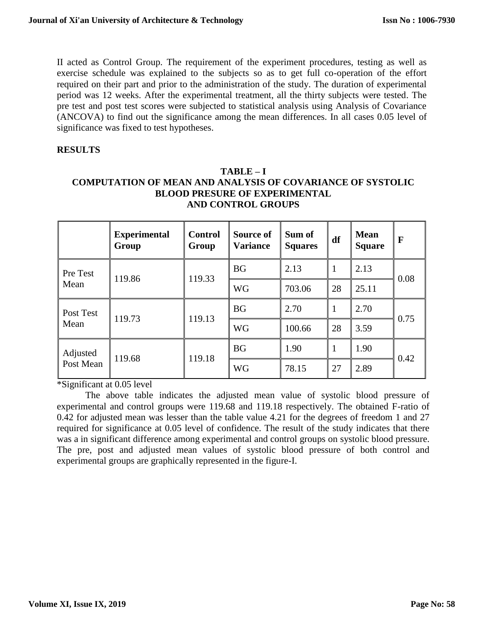II acted as Control Group. The requirement of the experiment procedures, testing as well as exercise schedule was explained to the subjects so as to get full co-operation of the effort required on their part and prior to the administration of the study. The duration of experimental period was 12 weeks. After the experimental treatment, all the thirty subjects were tested. The pre test and post test scores were subjected to statistical analysis using Analysis of Covariance (ANCOVA) to find out the significance among the mean differences. In all cases 0.05 level of significance was fixed to test hypotheses.

## **RESULTS**

# **TABLE – I COMPUTATION OF MEAN AND ANALYSIS OF COVARIANCE OF SYSTOLIC BLOOD PRESURE OF EXPERIMENTAL AND CONTROL GROUPS**

|                       | <b>Experimental</b><br>Group | <b>Control</b><br>Group | Source of<br><b>Variance</b> | Sum of<br><b>Squares</b> | df | <b>Mean</b><br><b>Square</b> | F    |
|-----------------------|------------------------------|-------------------------|------------------------------|--------------------------|----|------------------------------|------|
| Pre Test<br>Mean      | 119.86                       | 119.33                  | <b>BG</b>                    | 2.13                     | 1  | 2.13                         | 0.08 |
|                       |                              |                         | <b>WG</b>                    | 703.06                   | 28 | 25.11                        |      |
| Post Test<br>Mean     | 119.73                       | 119.13                  | <b>BG</b>                    | 2.70                     |    | 2.70                         | 0.75 |
|                       |                              |                         | <b>WG</b>                    | 100.66                   | 28 | 3.59                         |      |
| Adjusted<br>Post Mean | 119.68                       | 119.18                  | <b>BG</b>                    | 1.90                     | 1  | 1.90                         | 0.42 |
|                       |                              |                         | <b>WG</b>                    | 78.15                    | 27 | 2.89                         |      |

\*Significant at 0.05 level

The above table indicates the adjusted mean value of systolic blood pressure of experimental and control groups were 119.68 and 119.18 respectively. The obtained F-ratio of 0.42 for adjusted mean was lesser than the table value 4.21 for the degrees of freedom 1 and 27 required for significance at 0.05 level of confidence. The result of the study indicates that there was a in significant difference among experimental and control groups on systolic blood pressure. The pre, post and adjusted mean values of systolic blood pressure of both control and experimental groups are graphically represented in the figure-I.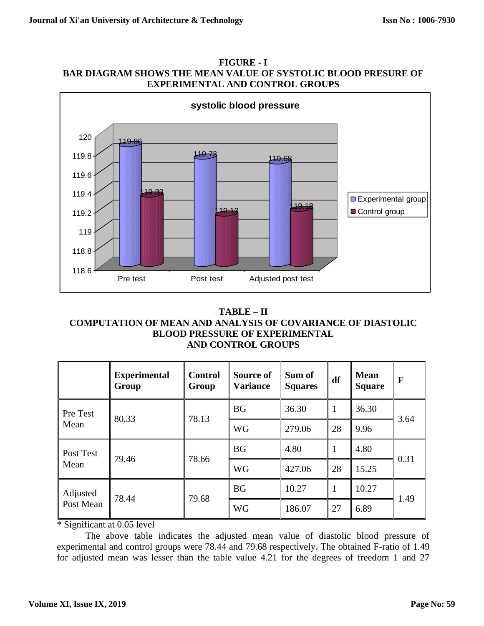



## **TABLE – II COMPUTATION OF MEAN AND ANALYSIS OF COVARIANCE OF DIASTOLIC BLOOD PRESSURE OF EXPERIMENTAL AND CONTROL GROUPS**

|                       | <b>Experimental</b><br>Group | <b>Control</b><br>Group | Source of<br><b>Variance</b> | Sum of<br><b>Squares</b> | df           | <b>Mean</b><br><b>Square</b> | F    |
|-----------------------|------------------------------|-------------------------|------------------------------|--------------------------|--------------|------------------------------|------|
| Pre Test<br>Mean      | 80.33                        | 78.13                   | <b>BG</b>                    | 36.30                    | $\mathbf{1}$ | 36.30                        | 3.64 |
|                       |                              |                         | <b>WG</b>                    | 279.06                   | 28           | 9.96                         |      |
| Post Test<br>Mean     | 79.46                        | 78.66                   | <b>BG</b>                    | 4.80                     | $\mathbf{1}$ | 4.80                         | 0.31 |
|                       |                              |                         | <b>WG</b>                    | 427.06                   | 28           | 15.25                        |      |
| Adjusted<br>Post Mean | 78.44                        | 79.68                   | <b>BG</b>                    | 10.27                    | $\mathbf{1}$ | 10.27                        | 1.49 |
|                       |                              |                         | <b>WG</b>                    | 186.07                   | 27           | 6.89                         |      |

\* Significant at 0.05 level

The above table indicates the adjusted mean value of diastolic blood pressure of experimental and control groups were 78.44 and 79.68 respectively. The obtained F-ratio of 1.49 for adjusted mean was lesser than the table value 4.21 for the degrees of freedom 1 and 27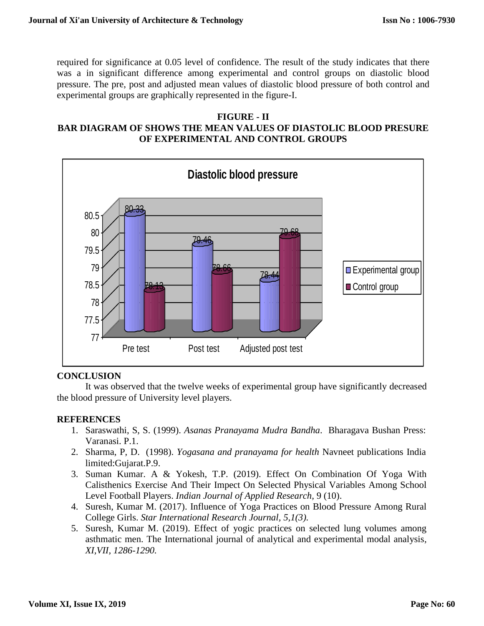required for significance at 0.05 level of confidence. The result of the study indicates that there was a in significant difference among experimental and control groups on diastolic blood pressure. The pre, post and adjusted mean values of diastolic blood pressure of both control and experimental groups are graphically represented in the figure-I.

## **FIGURE - II**

# **BAR DIAGRAM OF SHOWS THE MEAN VALUES OF DIASTOLIC BLOOD PRESURE OF EXPERIMENTAL AND CONTROL GROUPS**



# **CONCLUSION**

It was observed that the twelve weeks of experimental group have significantly decreased the blood pressure of University level players.

# **REFERENCES**

- 1. Saraswathi, S, S. (1999). *Asanas Pranayama Mudra Bandha*. Bharagava Bushan Press: Varanasi. P.1.
- 2. Sharma, P, D. (1998). *Yogasana and pranayama for health* Navneet publications India limited:Gujarat.P.9.
- 3. Suman Kumar. A & Yokesh, T.P. (2019). [Effect On Combination Of Yoga With](javascript:void(0))  [Calisthenics Exercise And Their Impect On Selected Physical Variables Among School](javascript:void(0))  [Level Football Players.](javascript:void(0)) *Indian Journal of Applied Research,* 9 (10).
- 4. Suresh, Kumar M. (2017). Influence of Yoga Practices on Blood Pressure Among Rural College Girls. *Star International Research Journal, 5,1(3).*
- 5. Suresh, Kumar M. (2019). Effect of yogic practices on selected lung volumes among asthmatic men. The International journal of analytical and experimental modal analysis*, XI,VII, 1286-1290.*